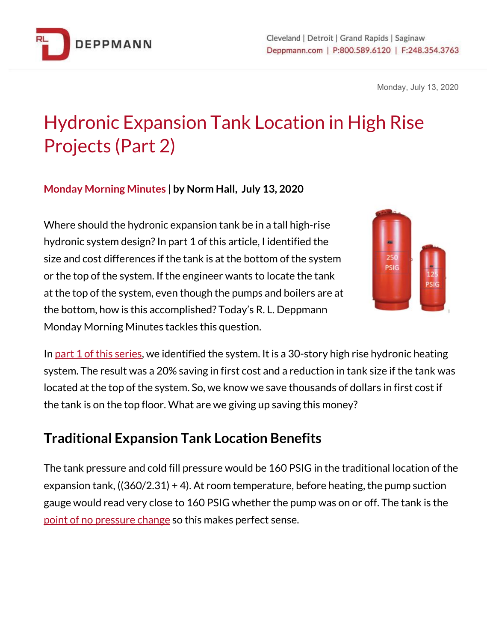

Monday, July 13, 2020

# Hydronic Expansion Tank Location in High Rise Projects (Part 2)

### **Monday Morning Minutes | by Norm Hall, July 13, 2020**

Where should the hydronic expansion tank be in a tall high-rise hydronic system design? In part 1 of this article, I identified the size and cost differences if the tank is at the bottom of the system or the top of the system. If the engineer wants to locate the tank at the top of the system, even though the pumps and boilers are at the bottom, how is this accomplished? Today's R. L. Deppmann Monday Morning Minutes tackles this question.



In [p](https://bit.ly/2ZW6Pri)art 1 of this [series,](https://bit.ly/2ZW6Pri) we identified the system. It is a 30-story high rise hydronic heating system. The result was a 20% saving in first cost and a reduction in tank size if the tank was located at the top of the system. So, we know we save thousands of dollars in first cost if the tank is on the top floor. What are we giving up saving this money?

## **Traditional Expansion Tank Location Benefits**

The tank pressure and cold fill pressure would be 160 PSIG in the traditional location of the expansion tank, ((360/2.31) + 4). At room temperature, before heating, the pump suction gauge would read very close to 160 PSIG whether the pump was on or off. The tank is the point of no [pressure](http://bit.ly/2YQIm9o) change so this makes perfect sense.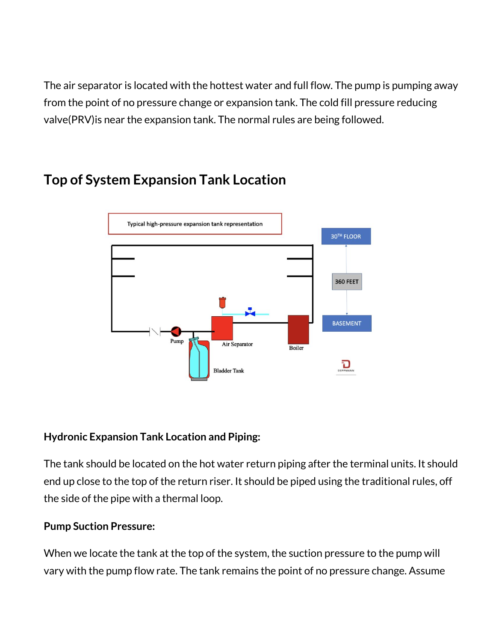The air separator is located with the hottest water and full flow. The pump is pumping away from the point of no pressure change or expansion tank. The cold fill pressure reducing valve(PRV)is near the expansion tank. The normal rules are being followed.



## **Top of System Expansion Tank Location**

#### **Hydronic Expansion Tank Location and Piping:**

The tank should be located on the hot water return piping after the terminal units. It should end up close to the top of the return riser. It should be piped using the traditional rules, off the side of the pipe with a thermal loop.

### **Pump Suction Pressure:**

When we locate the tank at the top of the system, the suction pressure to the pump will vary with the pump flow rate. The tank remains the point of no pressure change. Assume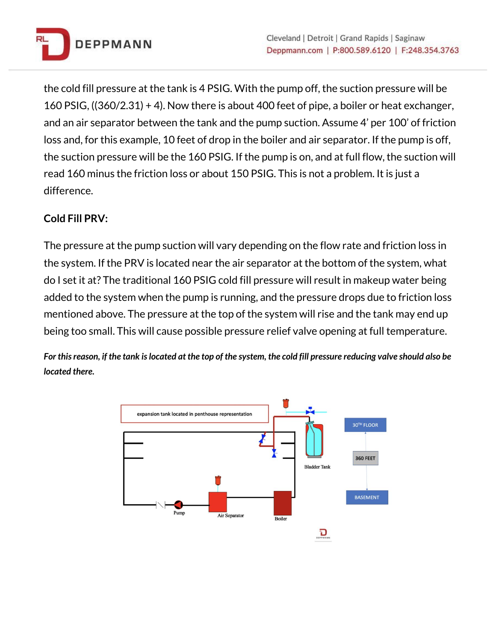

the cold fill pressure at the tank is 4 PSIG. With the pump off, the suction pressure will be 160 PSIG, ((360/2.31) + 4). Now there is about 400 feet of pipe, a boiler or heat exchanger, and an air separator between the tank and the pump suction. Assume 4' per 100' of friction loss and, for this example, 10 feet of drop in the boiler and air separator. If the pump is off, the suction pressure will be the 160 PSIG. If the pump is on, and at full flow, the suction will read 160 minus the friction loss or about 150 PSIG. This is not a problem. It is just a difference.

#### **Cold Fill PRV:**

The pressure at the pump suction will vary depending on the flow rate and friction loss in the system. If the PRV is located near the air separator at the bottom of the system, what do I set it at? The traditional 160 PSIG cold fill pressure will result in makeup water being added to the system when the pump is running, and the pressure drops due to friction loss mentioned above. The pressure at the top of the system will rise and the tank may end up being too small. This will cause possible pressure relief valve opening at full temperature.

For this reason, if the tank is located at the top of the system, the cold fill pressure reducing valve should also be *located there.*